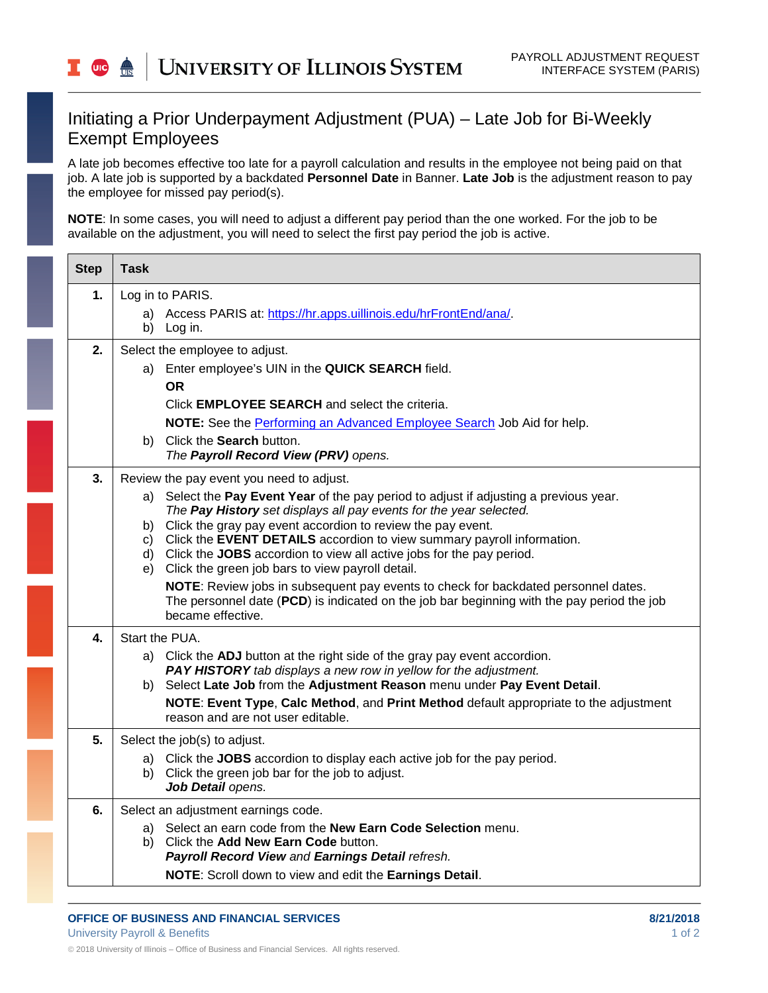## Initiating a Prior Underpayment Adjustment (PUA) – Late Job for Bi-Weekly Exempt Employees

A late job becomes effective too late for a payroll calculation and results in the employee not being paid on that job. A late job is supported by a backdated **Personnel Date** in Banner. **Late Job** is the adjustment reason to pay the employee for missed pay period(s).

**NOTE**: In some cases, you will need to adjust a different pay period than the one worked. For the job to be available on the adjustment, you will need to select the first pay period the job is active.

| <b>Step</b> | <b>Task</b>                                                                                                                                    |
|-------------|------------------------------------------------------------------------------------------------------------------------------------------------|
| 1.          | Log in to PARIS.<br>Access PARIS at: https://hr.apps.uillinois.edu/hrFrontEnd/ana/.                                                            |
|             | b) Log in.                                                                                                                                     |
| 2.          | Select the employee to adjust.                                                                                                                 |
|             | a) Enter employee's UIN in the QUICK SEARCH field.                                                                                             |
|             | <b>OR</b><br>Click <b>EMPLOYEE SEARCH</b> and select the criteria.                                                                             |
|             | NOTE: See the Performing an Advanced Employee Search Job Aid for help.                                                                         |
|             | Click the Search button.<br>b).                                                                                                                |
|             | The Payroll Record View (PRV) opens.                                                                                                           |
| 3.          | Review the pay event you need to adjust.                                                                                                       |
|             | a) Select the Pay Event Year of the pay period to adjust if adjusting a previous year.                                                         |
|             | The Pay History set displays all pay events for the year selected.<br>b) Click the gray pay event accordion to review the pay event.           |
|             | c) Click the EVENT DETAILS accordion to view summary payroll information.                                                                      |
|             | d) Click the JOBS accordion to view all active jobs for the pay period.                                                                        |
|             | e) Click the green job bars to view payroll detail.<br>NOTE: Review jobs in subsequent pay events to check for backdated personnel dates.      |
|             | The personnel date (PCD) is indicated on the job bar beginning with the pay period the job<br>became effective.                                |
| 4.          | Start the PUA.                                                                                                                                 |
|             | a) Click the ADJ button at the right side of the gray pay event accordion.<br>PAY HISTORY tab displays a new row in yellow for the adjustment. |
|             | b) Select Late Job from the Adjustment Reason menu under Pay Event Detail.                                                                     |
|             | NOTE: Event Type, Calc Method, and Print Method default appropriate to the adjustment<br>reason and are not user editable.                     |
| 5.          | Select the job(s) to adjust.                                                                                                                   |
|             | a) Click the JOBS accordion to display each active job for the pay period.                                                                     |
|             | b) Click the green job bar for the job to adjust.<br>Job Detail opens.                                                                         |
| 6.          | Select an adjustment earnings code.                                                                                                            |
|             | a) Select an earn code from the New Earn Code Selection menu.                                                                                  |
|             | b) Click the Add New Earn Code button.<br>Payroll Record View and Earnings Detail refresh.                                                     |
|             | NOTE: Scroll down to view and edit the Earnings Detail.                                                                                        |
|             |                                                                                                                                                |